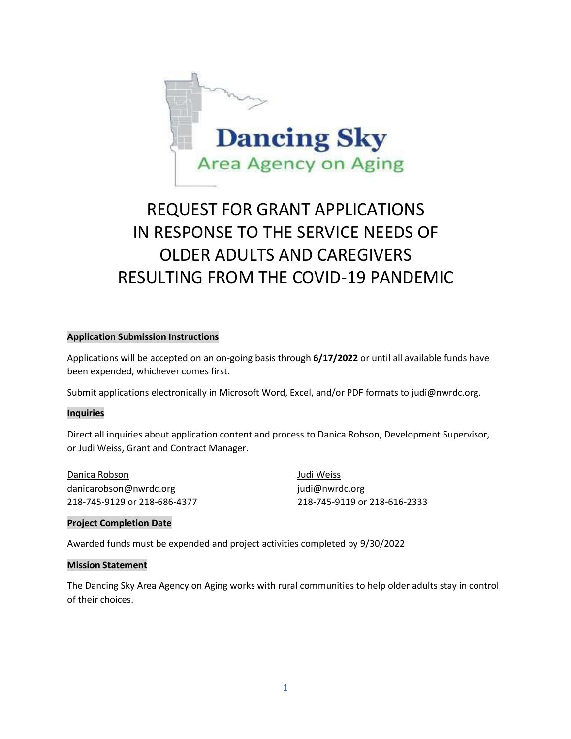

# REQUEST FOR GRANT APPLICATIONS IN RESPONSE TO THE SERVICE NEEDS OF OLDER ADULTS AND CAREGIVERS RESULTING FROM THE COVID-19 PANDEMIC

### **Application Submission Instructions**

Applications will be accepted on an on-going basis through **6/17/2022** or until all available funds have been expended, whichever comes first.

Submit applications electronically in Microsoft Word, Excel, and/or PDF formats to [judi@nwrdc.org.](mailto:judi@nwrdc.org)

#### **Inquiries**

Direct all inquiries about application content and process to Danica Robson, Development Supervisor, or Judi Weiss, Grant and Contract Manager.

Danica Robson Judi Weiss danicarobson@nwrdc.org indi@nwrdc.org indi@nwrdc.org

218-745-9129 or 218-686-4377 218-745-9119 or 218-616-2333

## **Project Completion Date**

Awarded funds must be expended and project activities completed by 9/30/2022

#### **Mission Statement**

The Dancing Sky Area Agency on Aging works with rural communities to help older adults stay in control of their choices.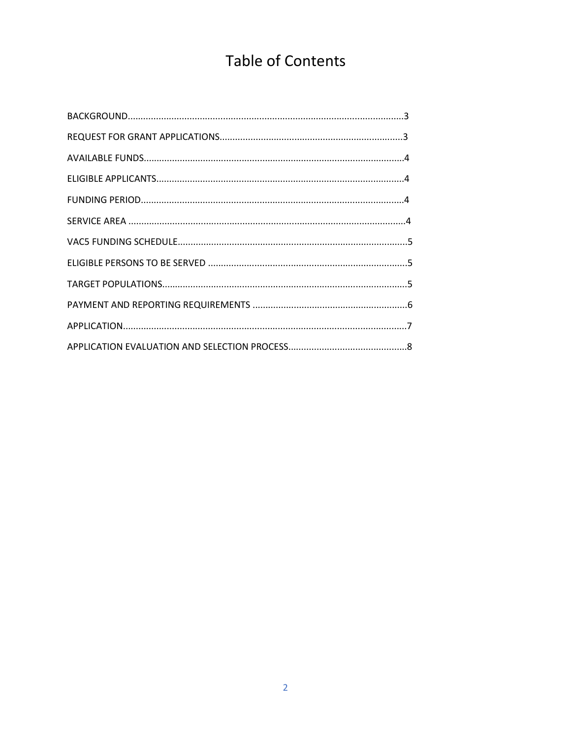# **Table of Contents**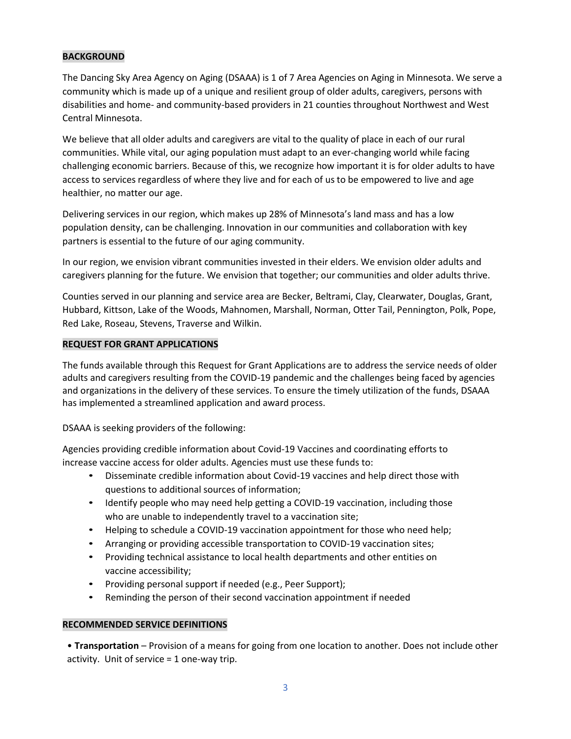# **BACKGROUND**

The Dancing Sky Area Agency on Aging (DSAAA) is 1 of 7 Area Agencies on Aging in Minnesota. We serve a community which is made up of a unique and resilient group of older adults, caregivers, persons with disabilities and home- and community-based providers in 21 counties throughout Northwest and West Central Minnesota.

We believe that all older adults and caregivers are vital to the quality of place in each of our rural communities. While vital, our aging population must adapt to an ever-changing world while facing challenging economic barriers. Because of this, we recognize how important it is for older adults to have access to services regardless of where they live and for each of us to be empowered to live and age healthier, no matter our age.

Delivering services in our region, which makes up 28% of Minnesota's land mass and has a low population density, can be challenging. Innovation in our communities and collaboration with key partners is essential to the future of our aging community.

In our region, we envision vibrant communities invested in their elders. We envision older adults and caregivers planning for the future. We envision that together; our communities and older adults thrive.

Counties served in our planning and service area are Becker, Beltrami, Clay, Clearwater, Douglas, Grant, Hubbard, Kittson, Lake of the Woods, Mahnomen, Marshall, Norman, Otter Tail, Pennington, Polk, Pope, Red Lake, Roseau, Stevens, Traverse and Wilkin.

### **REQUEST FOR GRANT APPLICATIONS**

The funds available through this Request for Grant Applications are to address the service needs of older adults and caregivers resulting from the COVID-19 pandemic and the challenges being faced by agencies and organizations in the delivery of these services. To ensure the timely utilization of the funds, DSAAA has implemented a streamlined application and award process.

DSAAA is seeking providers of the following:

Agencies providing credible information about Covid-19 Vaccines and coordinating efforts to increase vaccine access for older adults. Agencies must use these funds to:

- Disseminate credible information about Covid-19 vaccines and help direct those with questions to additional sources of information;
- Identify people who may need help getting a COVID-19 vaccination, including those who are unable to independently travel to a vaccination site;
- Helping to schedule a COVID-19 vaccination appointment for those who need help;
- Arranging or providing accessible transportation to COVID-19 vaccination sites;
- Providing technical assistance to local health departments and other entities on vaccine accessibility;
- Providing personal support if needed (e.g., Peer Support);
- Reminding the person of their second vaccination appointment if needed

## **RECOMMENDED SERVICE DEFINITIONS**

• **Transportation** – Provision of a means for going from one location to another. Does not include other activity. Unit of service = 1 one-way trip.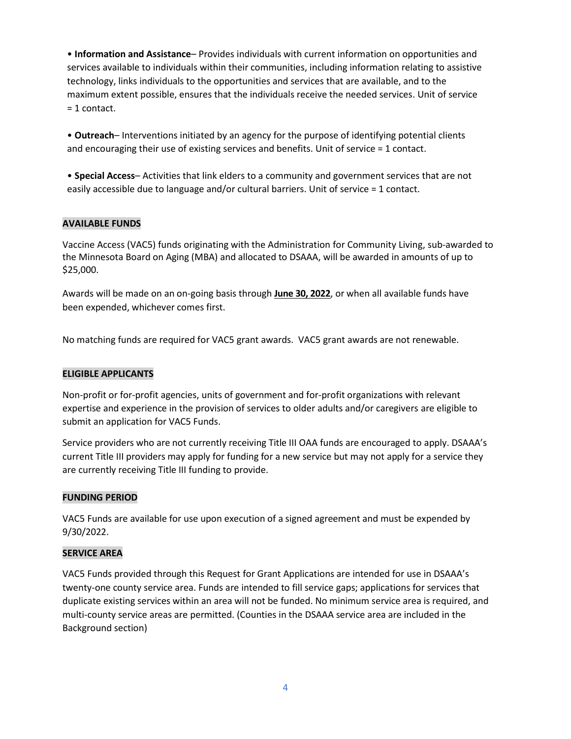• **Information and Assistance**– Provides individuals with current information on opportunities and services available to individuals within their communities, including information relating to assistive technology, links individuals to the opportunities and services that are available, and to the maximum extent possible, ensures that the individuals receive the needed services. Unit of service = 1 contact.

• **Outreach**– Interventions initiated by an agency for the purpose of identifying potential clients and encouraging their use of existing services and benefits. Unit of service = 1 contact.

• **Special Access**– Activities that link elders to a community and government services that are not easily accessible due to language and/or cultural barriers. Unit of service = 1 contact.

## **AVAILABLE FUNDS**

Vaccine Access (VAC5) funds originating with the Administration for Community Living, sub-awarded to the Minnesota Board on Aging (MBA) and allocated to DSAAA, will be awarded in amounts of up to \$25,000.

Awards will be made on an on-going basis through **June 30, 2022**, or when all available funds have been expended, whichever comes first.

No matching funds are required for VAC5 grant awards. VAC5 grant awards are not renewable.

## **ELIGIBLE APPLICANTS**

Non-profit or for-profit agencies, units of government and for-profit organizations with relevant expertise and experience in the provision of services to older adults and/or caregivers are eligible to submit an application for VAC5 Funds.

Service providers who are not currently receiving Title III OAA funds are encouraged to apply. DSAAA's current Title III providers may apply for funding for a new service but may not apply for a service they are currently receiving Title III funding to provide.

# **FUNDING PERIOD**

VAC5 Funds are available for use upon execution of a signed agreement and must be expended by 9/30/2022.

## **SERVICE AREA**

VAC5 Funds provided through this Request for Grant Applications are intended for use in DSAAA's twenty-one county service area. Funds are intended to fill service gaps; applications for services that duplicate existing services within an area will not be funded. No minimum service area is required, and multi-county service areas are permitted. (Counties in the DSAAA service area are included in the Background section)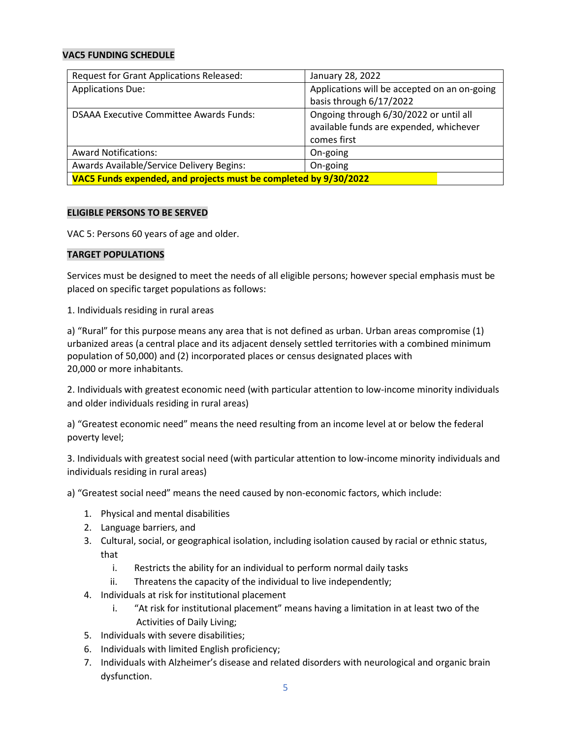## **VAC5 FUNDING SCHEDULE**

| Request for Grant Applications Released:                         | January 28, 2022                             |
|------------------------------------------------------------------|----------------------------------------------|
| <b>Applications Due:</b>                                         | Applications will be accepted on an on-going |
|                                                                  | basis through 6/17/2022                      |
| <b>DSAAA Executive Committee Awards Funds:</b>                   | Ongoing through 6/30/2022 or until all       |
|                                                                  | available funds are expended, whichever      |
|                                                                  | comes first                                  |
| <b>Award Notifications:</b>                                      | On-going                                     |
| Awards Available/Service Delivery Begins:                        | On-going                                     |
| VAC5 Funds expended, and projects must be completed by 9/30/2022 |                                              |

## **ELIGIBLE PERSONS TO BE SERVED**

VAC 5: Persons 60 years of age and older.

### **TARGET POPULATIONS**

Services must be designed to meet the needs of all eligible persons; however special emphasis must be placed on specific target populations as follows:

1. Individuals residing in rural areas

a) "Rural" for this purpose means any area that is not defined as urban. Urban areas compromise (1) urbanized areas (a central place and its adjacent densely settled territories with a combined minimum population of 50,000) and (2) incorporated places or census designated places with 20,000 or more inhabitants.

2. Individuals with greatest economic need (with particular attention to low-income minority individuals and older individuals residing in rural areas)

a) "Greatest economic need" means the need resulting from an income level at or below the federal poverty level;

3. Individuals with greatest social need (with particular attention to low-income minority individuals and individuals residing in rural areas)

a) "Greatest social need" means the need caused by non-economic factors, which include:

- 1. Physical and mental disabilities
- 2. Language barriers, and
- 3. Cultural, social, or geographical isolation, including isolation caused by racial or ethnic status, that
	- i. Restricts the ability for an individual to perform normal daily tasks
	- ii. Threatens the capacity of the individual to live independently;
- 4. Individuals at risk for institutional placement
	- i. "At risk for institutional placement" means having a limitation in at least two of the Activities of Daily Living;
- 5. Individuals with severe disabilities;
- 6. Individuals with limited English proficiency;
- 7. Individuals with Alzheimer's disease and related disorders with neurological and organic brain dysfunction.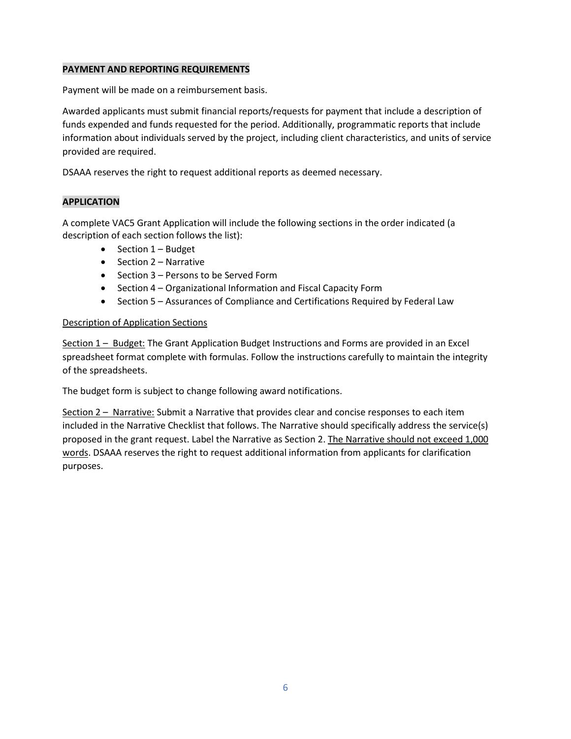## **PAYMENT AND REPORTING REQUIREMENTS**

Payment will be made on a reimbursement basis.

Awarded applicants must submit financial reports/requests for payment that include a description of funds expended and funds requested for the period. Additionally, programmatic reports that include information about individuals served by the project, including client characteristics, and units of service provided are required.

DSAAA reserves the right to request additional reports as deemed necessary.

## **APPLICATION**

A complete VAC5 Grant Application will include the following sections in the order indicated (a description of each section follows the list):

- Section 1 Budget
- Section 2 Narrative
- Section 3 Persons to be Served Form
- Section 4 Organizational Information and Fiscal Capacity Form
- Section 5 Assurances of Compliance and Certifications Required by Federal Law

## Description of Application Sections

Section 1 – Budget: The Grant Application Budget Instructions and Forms are provided in an Excel spreadsheet format complete with formulas. Follow the instructions carefully to maintain the integrity of the spreadsheets.

The budget form is subject to change following award notifications.

Section 2 – Narrative: Submit a Narrative that provides clear and concise responses to each item included in the Narrative Checklist that follows. The Narrative should specifically address the service(s) proposed in the grant request. Label the Narrative as Section 2. The Narrative should not exceed 1,000 words. DSAAA reserves the right to request additional information from applicants for clarification purposes.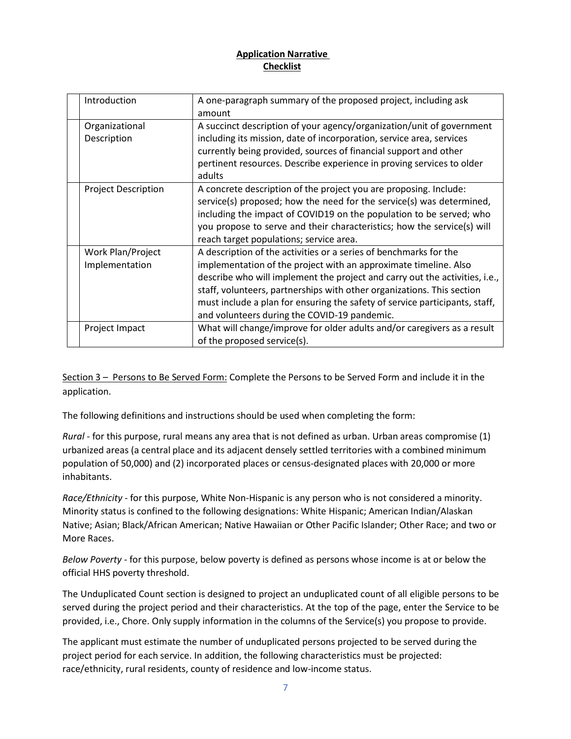# **Application Narrative Checklist**

| Introduction                        | A one-paragraph summary of the proposed project, including ask<br>amount                                                                                                                                                                                                                                                                                                                                                      |
|-------------------------------------|-------------------------------------------------------------------------------------------------------------------------------------------------------------------------------------------------------------------------------------------------------------------------------------------------------------------------------------------------------------------------------------------------------------------------------|
| Organizational<br>Description       | A succinct description of your agency/organization/unit of government<br>including its mission, date of incorporation, service area, services<br>currently being provided, sources of financial support and other<br>pertinent resources. Describe experience in proving services to older<br>adults                                                                                                                          |
| <b>Project Description</b>          | A concrete description of the project you are proposing. Include:<br>service(s) proposed; how the need for the service(s) was determined,<br>including the impact of COVID19 on the population to be served; who<br>you propose to serve and their characteristics; how the service(s) will<br>reach target populations; service area.                                                                                        |
| Work Plan/Project<br>Implementation | A description of the activities or a series of benchmarks for the<br>implementation of the project with an approximate timeline. Also<br>describe who will implement the project and carry out the activities, i.e.,<br>staff, volunteers, partnerships with other organizations. This section<br>must include a plan for ensuring the safety of service participants, staff,<br>and volunteers during the COVID-19 pandemic. |
| Project Impact                      | What will change/improve for older adults and/or caregivers as a result<br>of the proposed service(s).                                                                                                                                                                                                                                                                                                                        |

Section 3 – Persons to Be Served Form: Complete the Persons to be Served Form and include it in the application.

The following definitions and instructions should be used when completing the form:

*Rural* - for this purpose, rural means any area that is not defined as urban. Urban areas compromise (1) urbanized areas (a central place and its adjacent densely settled territories with a combined minimum population of 50,000) and (2) incorporated places or census-designated places with 20,000 or more inhabitants.

*Race/Ethnicity* - for this purpose, White Non-Hispanic is any person who is not considered a minority. Minority status is confined to the following designations: White Hispanic; American Indian/Alaskan Native; Asian; Black/African American; Native Hawaiian or Other Pacific Islander; Other Race; and two or More Races.

*Below Poverty* - for this purpose, below poverty is defined as persons whose income is at or below the official HHS poverty threshold.

The Unduplicated Count section is designed to project an unduplicated count of all eligible persons to be served during the project period and their characteristics. At the top of the page, enter the Service to be provided, i.e., Chore. Only supply information in the columns of the Service(s) you propose to provide.

The applicant must estimate the number of unduplicated persons projected to be served during the project period for each service. In addition, the following characteristics must be projected: race/ethnicity, rural residents, county of residence and low-income status.